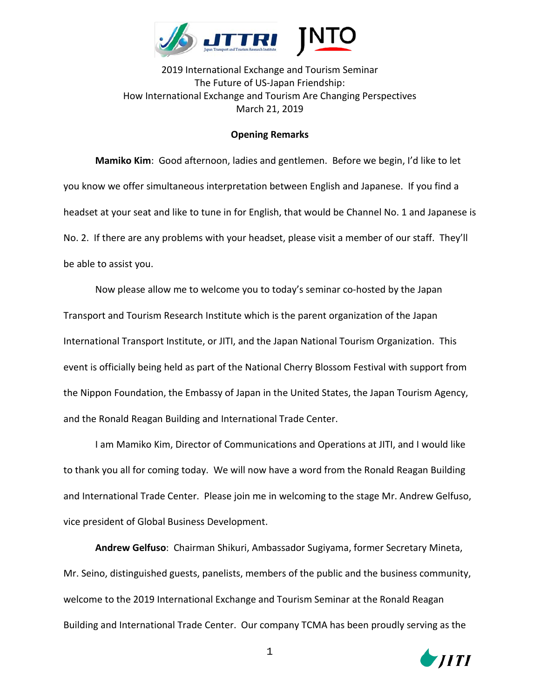

2019 International Exchange and Tourism Seminar The Future of US-Japan Friendship: How International Exchange and Tourism Are Changing Perspectives March 21, 2019

## **Opening Remarks**

**Mamiko Kim**: Good afternoon, ladies and gentlemen. Before we begin, I'd like to let you know we offer simultaneous interpretation between English and Japanese. If you find a headset at your seat and like to tune in for English, that would be Channel No. 1 and Japanese is No. 2. If there are any problems with your headset, please visit a member of our staff. They'll be able to assist you.

Now please allow me to welcome you to today's seminar co-hosted by the Japan Transport and Tourism Research Institute which is the parent organization of the Japan International Transport Institute, or JITI, and the Japan National Tourism Organization. This event is officially being held as part of the National Cherry Blossom Festival with support from the Nippon Foundation, the Embassy of Japan in the United States, the Japan Tourism Agency, and the Ronald Reagan Building and International Trade Center.

I am Mamiko Kim, Director of Communications and Operations at JITI, and I would like to thank you all for coming today. We will now have a word from the Ronald Reagan Building and International Trade Center. Please join me in welcoming to the stage Mr. Andrew Gelfuso, vice president of Global Business Development.

**Andrew Gelfuso**: Chairman Shikuri, Ambassador Sugiyama, former Secretary Mineta, Mr. Seino, distinguished guests, panelists, members of the public and the business community, welcome to the 2019 International Exchange and Tourism Seminar at the Ronald Reagan Building and International Trade Center. Our company TCMA has been proudly serving as the

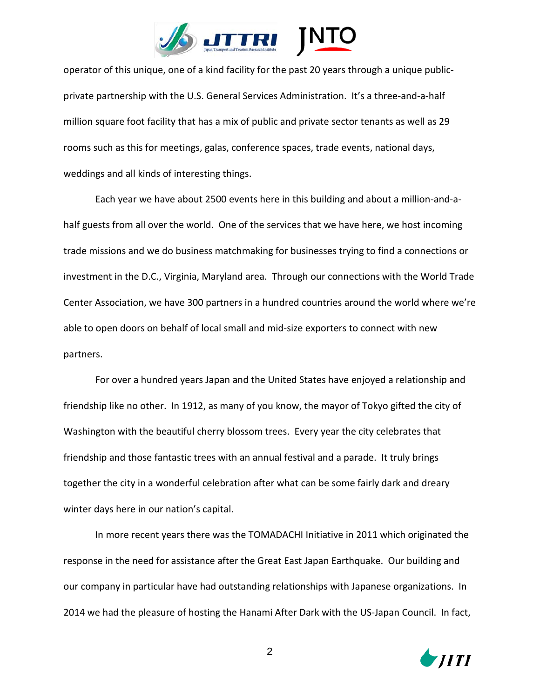

operator of this unique, one of a kind facility for the past 20 years through a unique publicprivate partnership with the U.S. General Services Administration. It's a three-and-a-half million square foot facility that has a mix of public and private sector tenants as well as 29 rooms such as this for meetings, galas, conference spaces, trade events, national days, weddings and all kinds of interesting things.

Each year we have about 2500 events here in this building and about a million-and-ahalf guests from all over the world. One of the services that we have here, we host incoming trade missions and we do business matchmaking for businesses trying to find a connections or investment in the D.C., Virginia, Maryland area. Through our connections with the World Trade Center Association, we have 300 partners in a hundred countries around the world where we're able to open doors on behalf of local small and mid-size exporters to connect with new partners.

For over a hundred years Japan and the United States have enjoyed a relationship and friendship like no other. In 1912, as many of you know, the mayor of Tokyo gifted the city of Washington with the beautiful cherry blossom trees. Every year the city celebrates that friendship and those fantastic trees with an annual festival and a parade. It truly brings together the city in a wonderful celebration after what can be some fairly dark and dreary winter days here in our nation's capital.

In more recent years there was the TOMADACHI Initiative in 2011 which originated the response in the need for assistance after the Great East Japan Earthquake. Our building and our company in particular have had outstanding relationships with Japanese organizations. In 2014 we had the pleasure of hosting the Hanami After Dark with the US-Japan Council. In fact,

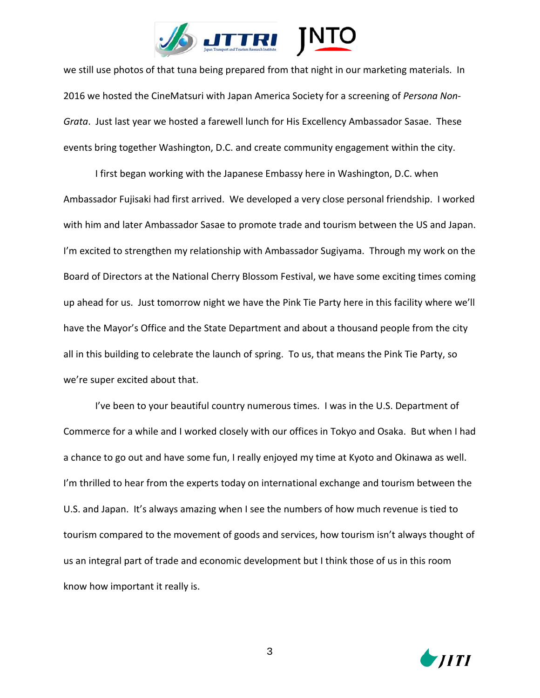

we still use photos of that tuna being prepared from that night in our marketing materials. In 2016 we hosted the CineMatsuri with Japan America Society for a screening of *Persona Non-Grata*. Just last year we hosted a farewell lunch for His Excellency Ambassador Sasae. These events bring together Washington, D.C. and create community engagement within the city.

I first began working with the Japanese Embassy here in Washington, D.C. when Ambassador Fujisaki had first arrived. We developed a very close personal friendship. I worked with him and later Ambassador Sasae to promote trade and tourism between the US and Japan. I'm excited to strengthen my relationship with Ambassador Sugiyama. Through my work on the Board of Directors at the National Cherry Blossom Festival, we have some exciting times coming up ahead for us. Just tomorrow night we have the Pink Tie Party here in this facility where we'll have the Mayor's Office and the State Department and about a thousand people from the city all in this building to celebrate the launch of spring. To us, that means the Pink Tie Party, so we're super excited about that.

I've been to your beautiful country numerous times. I was in the U.S. Department of Commerce for a while and I worked closely with our offices in Tokyo and Osaka. But when I had a chance to go out and have some fun, I really enjoyed my time at Kyoto and Okinawa as well. I'm thrilled to hear from the experts today on international exchange and tourism between the U.S. and Japan. It's always amazing when I see the numbers of how much revenue is tied to tourism compared to the movement of goods and services, how tourism isn't always thought of us an integral part of trade and economic development but I think those of us in this room know how important it really is.

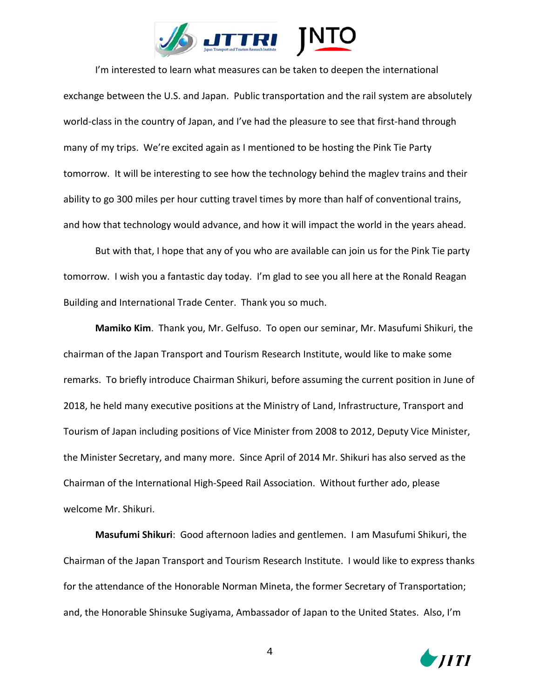

I'm interested to learn what measures can be taken to deepen the international exchange between the U.S. and Japan. Public transportation and the rail system are absolutely world-class in the country of Japan, and I've had the pleasure to see that first-hand through many of my trips. We're excited again as I mentioned to be hosting the Pink Tie Party tomorrow. It will be interesting to see how the technology behind the maglev trains and their ability to go 300 miles per hour cutting travel times by more than half of conventional trains, and how that technology would advance, and how it will impact the world in the years ahead.

But with that, I hope that any of you who are available can join us for the Pink Tie party tomorrow. I wish you a fantastic day today. I'm glad to see you all here at the Ronald Reagan Building and International Trade Center. Thank you so much.

**Mamiko Kim**. Thank you, Mr. Gelfuso. To open our seminar, Mr. Masufumi Shikuri, the chairman of the Japan Transport and Tourism Research Institute, would like to make some remarks. To briefly introduce Chairman Shikuri, before assuming the current position in June of 2018, he held many executive positions at the Ministry of Land, Infrastructure, Transport and Tourism of Japan including positions of Vice Minister from 2008 to 2012, Deputy Vice Minister, the Minister Secretary, and many more. Since April of 2014 Mr. Shikuri has also served as the Chairman of the International High-Speed Rail Association. Without further ado, please welcome Mr. Shikuri.

**Masufumi Shikuri**: Good afternoon ladies and gentlemen. I am Masufumi Shikuri, the Chairman of the Japan Transport and Tourism Research Institute. I would like to express thanks for the attendance of the Honorable Norman Mineta, the former Secretary of Transportation; and, the Honorable Shinsuke Sugiyama, Ambassador of Japan to the United States. Also, I'm

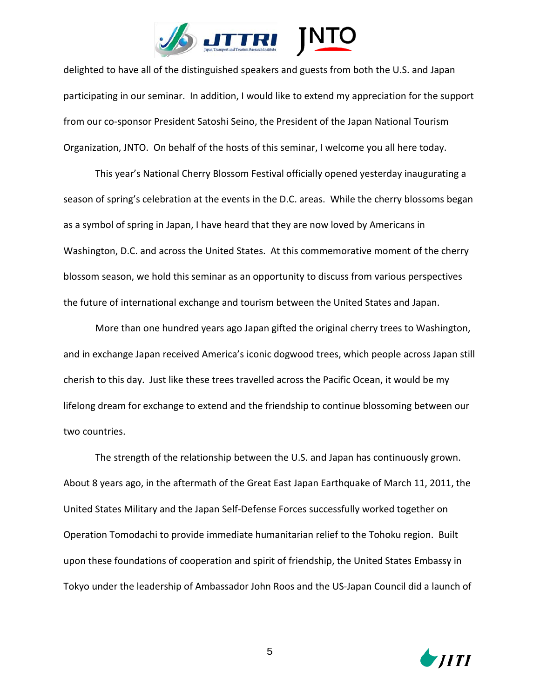

delighted to have all of the distinguished speakers and guests from both the U.S. and Japan participating in our seminar. In addition, I would like to extend my appreciation for the support from our co-sponsor President Satoshi Seino, the President of the Japan National Tourism Organization, JNTO. On behalf of the hosts of this seminar, I welcome you all here today.

This year's National Cherry Blossom Festival officially opened yesterday inaugurating a season of spring's celebration at the events in the D.C. areas. While the cherry blossoms began as a symbol of spring in Japan, I have heard that they are now loved by Americans in Washington, D.C. and across the United States. At this commemorative moment of the cherry blossom season, we hold this seminar as an opportunity to discuss from various perspectives the future of international exchange and tourism between the United States and Japan.

More than one hundred years ago Japan gifted the original cherry trees to Washington, and in exchange Japan received America's iconic dogwood trees, which people across Japan still cherish to this day. Just like these trees travelled across the Pacific Ocean, it would be my lifelong dream for exchange to extend and the friendship to continue blossoming between our two countries.

The strength of the relationship between the U.S. and Japan has continuously grown. About 8 years ago, in the aftermath of the Great East Japan Earthquake of March 11, 2011, the United States Military and the Japan Self-Defense Forces successfully worked together on Operation Tomodachi to provide immediate humanitarian relief to the Tohoku region. Built upon these foundations of cooperation and spirit of friendship, the United States Embassy in Tokyo under the leadership of Ambassador John Roos and the US-Japan Council did a launch of

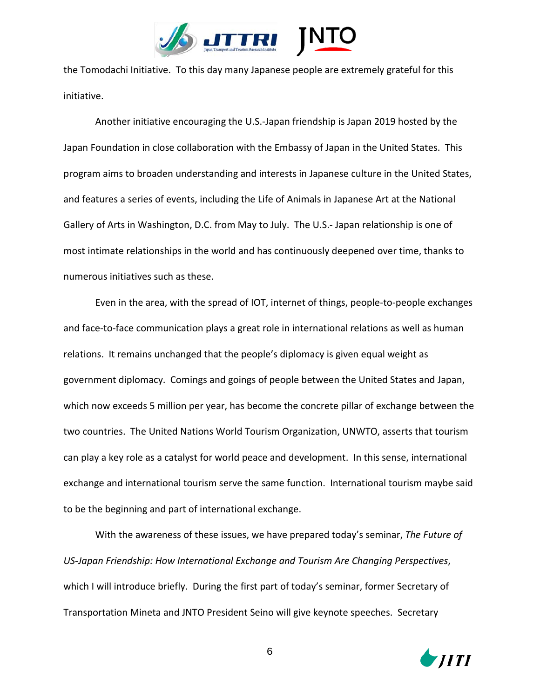

the Tomodachi Initiative. To this day many Japanese people are extremely grateful for this initiative.

Another initiative encouraging the U.S.-Japan friendship is Japan 2019 hosted by the Japan Foundation in close collaboration with the Embassy of Japan in the United States. This program aims to broaden understanding and interests in Japanese culture in the United States, and features a series of events, including the Life of Animals in Japanese Art at the National Gallery of Arts in Washington, D.C. from May to July. The U.S.- Japan relationship is one of most intimate relationships in the world and has continuously deepened over time, thanks to numerous initiatives such as these.

Even in the area, with the spread of IOT, internet of things, people-to-people exchanges and face-to-face communication plays a great role in international relations as well as human relations. It remains unchanged that the people's diplomacy is given equal weight as government diplomacy. Comings and goings of people between the United States and Japan, which now exceeds 5 million per year, has become the concrete pillar of exchange between the two countries. The United Nations World Tourism Organization, UNWTO, asserts that tourism can play a key role as a catalyst for world peace and development. In this sense, international exchange and international tourism serve the same function. International tourism maybe said to be the beginning and part of international exchange.

With the awareness of these issues, we have prepared today's seminar, *The Future of US-Japan Friendship: How International Exchange and Tourism Are Changing Perspectives*, which I will introduce briefly. During the first part of today's seminar, former Secretary of Transportation Mineta and JNTO President Seino will give keynote speeches. Secretary

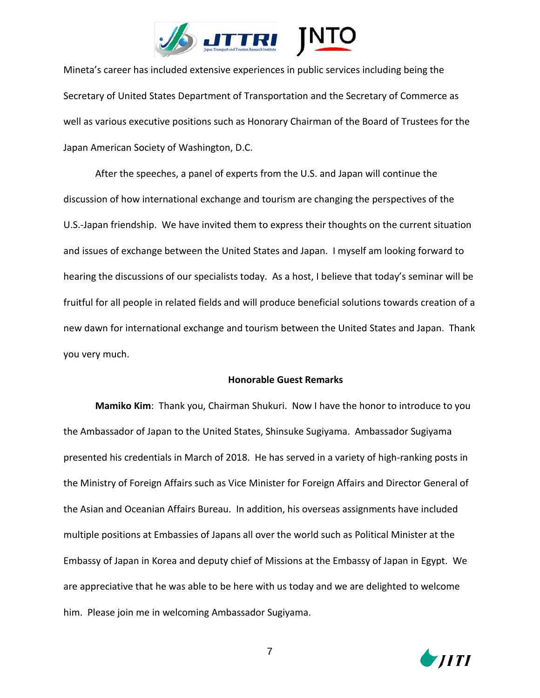

Mineta's career has included extensive experiences in public services including being the Secretary of United States Department of Transportation and the Secretary of Commerce as well as various executive positions such as Honorary Chairman of the Board of Trustees for the Japan American Society of Washington, D.C.

After the speeches, a panel of experts from the U.S. and Japan will continue the discussion of how international exchange and tourism are changing the perspectives of the U.S.-Japan friendship. We have invited them to express their thoughts on the current situation and issues of exchange between the United States and Japan. I myself am looking forward to hearing the discussions of our specialists today. As a host, I believe that today's seminar will be fruitful for all people in related fields and will produce beneficial solutions towards creation of a new dawn for international exchange and tourism between the United States and Japan. Thank you very much.

## **Honorable Guest Remarks**

**Mamiko Kim**: Thank you, Chairman Shukuri. Now I have the honor to introduce to you the Ambassador of Japan to the United States, Shinsuke Sugiyama. Ambassador Sugiyama presented his credentials in March of 2018. He has served in a variety of high-ranking posts in the Ministry of Foreign Affairs such as Vice Minister for Foreign Affairs and Director General of the Asian and Oceanian Affairs Bureau. In addition, his overseas assignments have included multiple positions at Embassies of Japans all over the world such as Political Minister at the Embassy of Japan in Korea and deputy chief of Missions at the Embassy of Japan in Egypt. We are appreciative that he was able to be here with us today and we are delighted to welcome him. Please join me in welcoming Ambassador Sugiyama.

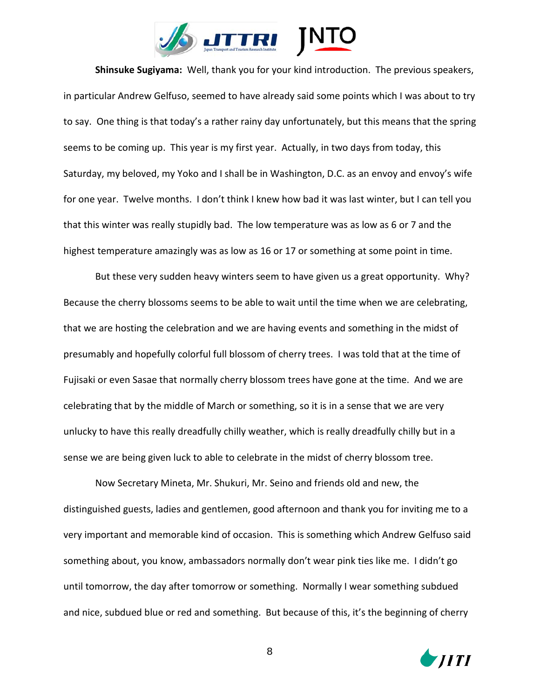

**Shinsuke Sugiyama:** Well, thank you for your kind introduction. The previous speakers, in particular Andrew Gelfuso, seemed to have already said some points which I was about to try to say. One thing is that today's a rather rainy day unfortunately, but this means that the spring seems to be coming up. This year is my first year. Actually, in two days from today, this Saturday, my beloved, my Yoko and I shall be in Washington, D.C. as an envoy and envoy's wife for one year. Twelve months. I don't think I knew how bad it was last winter, but I can tell you that this winter was really stupidly bad. The low temperature was as low as 6 or 7 and the highest temperature amazingly was as low as 16 or 17 or something at some point in time.

But these very sudden heavy winters seem to have given us a great opportunity. Why? Because the cherry blossoms seems to be able to wait until the time when we are celebrating, that we are hosting the celebration and we are having events and something in the midst of presumably and hopefully colorful full blossom of cherry trees. I was told that at the time of Fujisaki or even Sasae that normally cherry blossom trees have gone at the time. And we are celebrating that by the middle of March or something, so it is in a sense that we are very unlucky to have this really dreadfully chilly weather, which is really dreadfully chilly but in a sense we are being given luck to able to celebrate in the midst of cherry blossom tree.

Now Secretary Mineta, Mr. Shukuri, Mr. Seino and friends old and new, the distinguished guests, ladies and gentlemen, good afternoon and thank you for inviting me to a very important and memorable kind of occasion. This is something which Andrew Gelfuso said something about, you know, ambassadors normally don't wear pink ties like me. I didn't go until tomorrow, the day after tomorrow or something. Normally I wear something subdued and nice, subdued blue or red and something. But because of this, it's the beginning of cherry

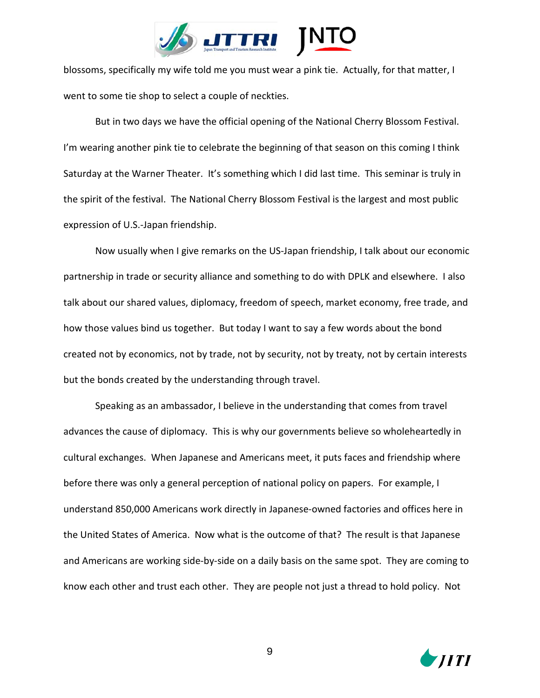

blossoms, specifically my wife told me you must wear a pink tie. Actually, for that matter, I went to some tie shop to select a couple of neckties.

But in two days we have the official opening of the National Cherry Blossom Festival. I'm wearing another pink tie to celebrate the beginning of that season on this coming I think Saturday at the Warner Theater. It's something which I did last time. This seminar is truly in the spirit of the festival. The National Cherry Blossom Festival is the largest and most public expression of U.S.-Japan friendship.

Now usually when I give remarks on the US-Japan friendship, I talk about our economic partnership in trade or security alliance and something to do with DPLK and elsewhere. I also talk about our shared values, diplomacy, freedom of speech, market economy, free trade, and how those values bind us together. But today I want to say a few words about the bond created not by economics, not by trade, not by security, not by treaty, not by certain interests but the bonds created by the understanding through travel.

Speaking as an ambassador, I believe in the understanding that comes from travel advances the cause of diplomacy. This is why our governments believe so wholeheartedly in cultural exchanges. When Japanese and Americans meet, it puts faces and friendship where before there was only a general perception of national policy on papers. For example, I understand 850,000 Americans work directly in Japanese-owned factories and offices here in the United States of America. Now what is the outcome of that? The result is that Japanese and Americans are working side-by-side on a daily basis on the same spot. They are coming to know each other and trust each other. They are people not just a thread to hold policy. Not

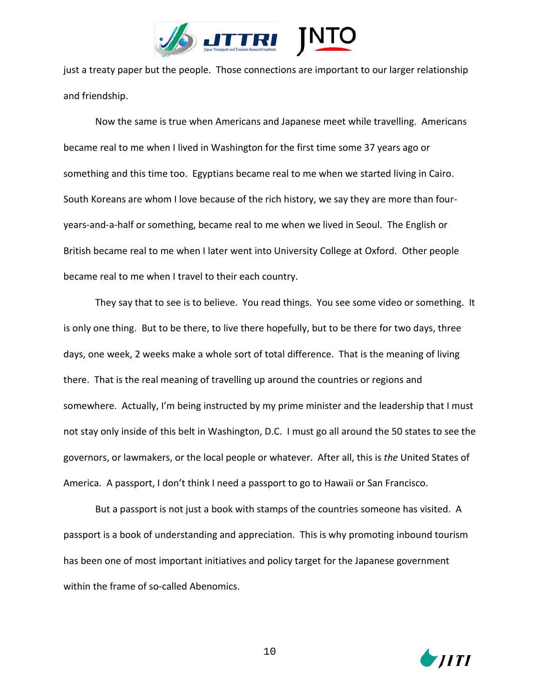

just a treaty paper but the people. Those connections are important to our larger relationship and friendship.

Now the same is true when Americans and Japanese meet while travelling. Americans became real to me when I lived in Washington for the first time some 37 years ago or something and this time too. Egyptians became real to me when we started living in Cairo. South Koreans are whom I love because of the rich history, we say they are more than fouryears-and-a-half or something, became real to me when we lived in Seoul. The English or British became real to me when I later went into University College at Oxford. Other people became real to me when I travel to their each country.

They say that to see is to believe. You read things. You see some video or something. It is only one thing. But to be there, to live there hopefully, but to be there for two days, three days, one week, 2 weeks make a whole sort of total difference. That is the meaning of living there. That is the real meaning of travelling up around the countries or regions and somewhere. Actually, I'm being instructed by my prime minister and the leadership that I must not stay only inside of this belt in Washington, D.C. I must go all around the 50 states to see the governors, or lawmakers, or the local people or whatever. After all, this is *the* United States of America. A passport, I don't think I need a passport to go to Hawaii or San Francisco.

But a passport is not just a book with stamps of the countries someone has visited. A passport is a book of understanding and appreciation. This is why promoting inbound tourism has been one of most important initiatives and policy target for the Japanese government within the frame of so-called Abenomics.

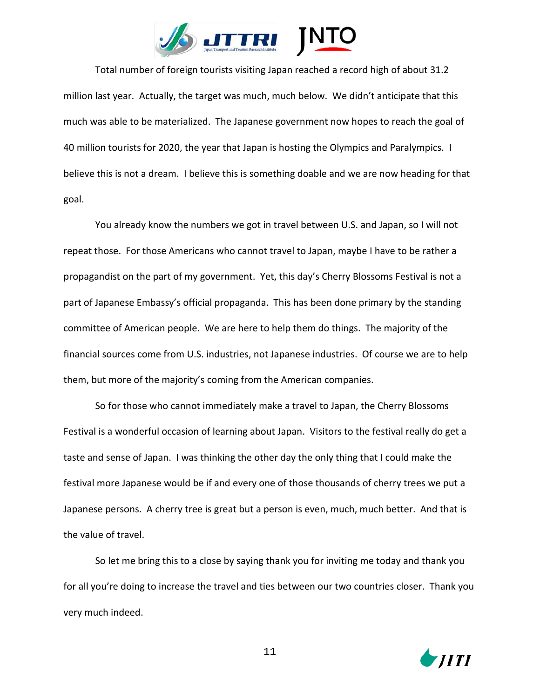

Total number of foreign tourists visiting Japan reached a record high of about 31.2 million last year. Actually, the target was much, much below. We didn't anticipate that this much was able to be materialized. The Japanese government now hopes to reach the goal of 40 million tourists for 2020, the year that Japan is hosting the Olympics and Paralympics. I believe this is not a dream. I believe this is something doable and we are now heading for that goal.

You already know the numbers we got in travel between U.S. and Japan, so I will not repeat those. For those Americans who cannot travel to Japan, maybe I have to be rather a propagandist on the part of my government. Yet, this day's Cherry Blossoms Festival is not a part of Japanese Embassy's official propaganda. This has been done primary by the standing committee of American people. We are here to help them do things. The majority of the financial sources come from U.S. industries, not Japanese industries. Of course we are to help them, but more of the majority's coming from the American companies.

So for those who cannot immediately make a travel to Japan, the Cherry Blossoms Festival is a wonderful occasion of learning about Japan. Visitors to the festival really do get a taste and sense of Japan. I was thinking the other day the only thing that I could make the festival more Japanese would be if and every one of those thousands of cherry trees we put a Japanese persons. A cherry tree is great but a person is even, much, much better. And that is the value of travel.

So let me bring this to a close by saying thank you for inviting me today and thank you for all you're doing to increase the travel and ties between our two countries closer. Thank you very much indeed.

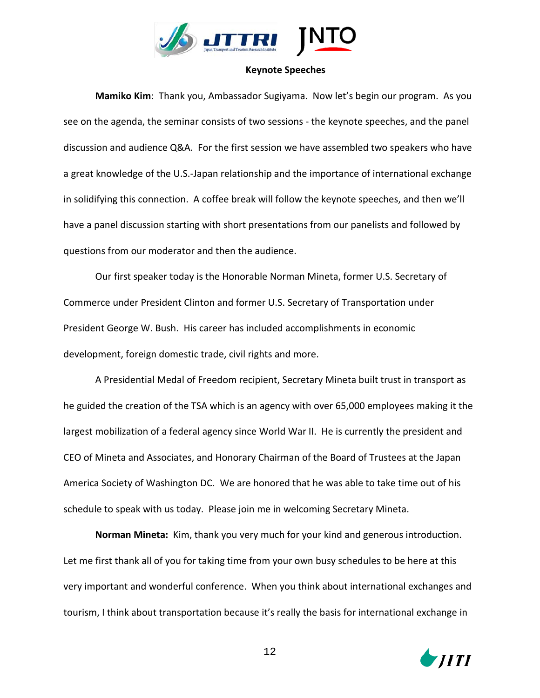

## **Keynote Speeches**

**Mamiko Kim**: Thank you, Ambassador Sugiyama. Now let's begin our program. As you see on the agenda, the seminar consists of two sessions - the keynote speeches, and the panel discussion and audience Q&A. For the first session we have assembled two speakers who have a great knowledge of the U.S.-Japan relationship and the importance of international exchange in solidifying this connection. A coffee break will follow the keynote speeches, and then we'll have a panel discussion starting with short presentations from our panelists and followed by questions from our moderator and then the audience.

Our first speaker today is the Honorable Norman Mineta, former U.S. Secretary of Commerce under President Clinton and former U.S. Secretary of Transportation under President George W. Bush. His career has included accomplishments in economic development, foreign domestic trade, civil rights and more.

A Presidential Medal of Freedom recipient, Secretary Mineta built trust in transport as he guided the creation of the TSA which is an agency with over 65,000 employees making it the largest mobilization of a federal agency since World War II. He is currently the president and CEO of Mineta and Associates, and Honorary Chairman of the Board of Trustees at the Japan America Society of Washington DC. We are honored that he was able to take time out of his schedule to speak with us today. Please join me in welcoming Secretary Mineta.

**Norman Mineta:** Kim, thank you very much for your kind and generous introduction. Let me first thank all of you for taking time from your own busy schedules to be here at this very important and wonderful conference. When you think about international exchanges and tourism, I think about transportation because it's really the basis for international exchange in

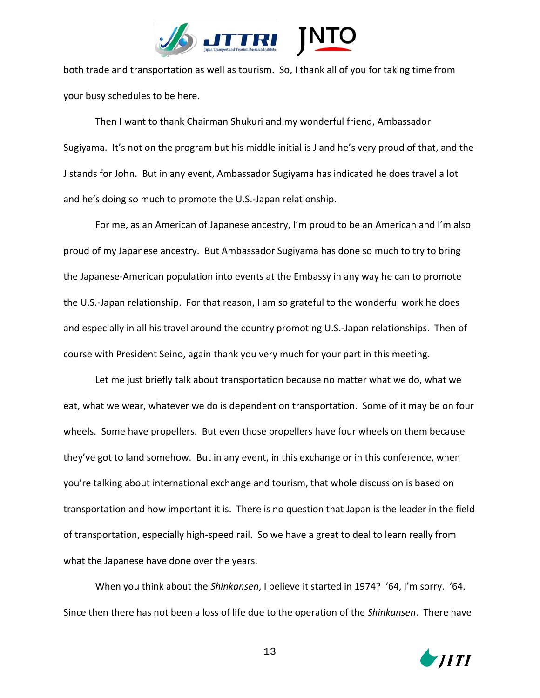

both trade and transportation as well as tourism. So, I thank all of you for taking time from your busy schedules to be here.

Then I want to thank Chairman Shukuri and my wonderful friend, Ambassador Sugiyama. It's not on the program but his middle initial is J and he's very proud of that, and the J stands for John. But in any event, Ambassador Sugiyama has indicated he does travel a lot and he's doing so much to promote the U.S.-Japan relationship.

For me, as an American of Japanese ancestry, I'm proud to be an American and I'm also proud of my Japanese ancestry. But Ambassador Sugiyama has done so much to try to bring the Japanese-American population into events at the Embassy in any way he can to promote the U.S.-Japan relationship. For that reason, I am so grateful to the wonderful work he does and especially in all his travel around the country promoting U.S.-Japan relationships. Then of course with President Seino, again thank you very much for your part in this meeting.

Let me just briefly talk about transportation because no matter what we do, what we eat, what we wear, whatever we do is dependent on transportation. Some of it may be on four wheels. Some have propellers. But even those propellers have four wheels on them because they've got to land somehow. But in any event, in this exchange or in this conference, when you're talking about international exchange and tourism, that whole discussion is based on transportation and how important it is. There is no question that Japan is the leader in the field of transportation, especially high-speed rail. So we have a great to deal to learn really from what the Japanese have done over the years.

When you think about the *Shinkansen*, I believe it started in 1974? '64, I'm sorry. '64. Since then there has not been a loss of life due to the operation of the *Shinkansen*. There have

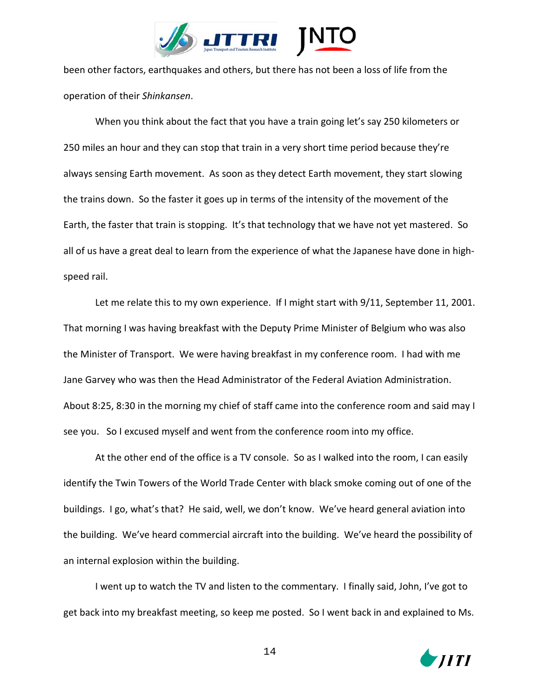

been other factors, earthquakes and others, but there has not been a loss of life from the operation of their *Shinkansen*.

When you think about the fact that you have a train going let's say 250 kilometers or 250 miles an hour and they can stop that train in a very short time period because they're always sensing Earth movement. As soon as they detect Earth movement, they start slowing the trains down. So the faster it goes up in terms of the intensity of the movement of the Earth, the faster that train is stopping. It's that technology that we have not yet mastered. So all of us have a great deal to learn from the experience of what the Japanese have done in highspeed rail.

Let me relate this to my own experience. If I might start with  $9/11$ , September 11, 2001. That morning I was having breakfast with the Deputy Prime Minister of Belgium who was also the Minister of Transport. We were having breakfast in my conference room. I had with me Jane Garvey who was then the Head Administrator of the Federal Aviation Administration. About 8:25, 8:30 in the morning my chief of staff came into the conference room and said may I see you. So I excused myself and went from the conference room into my office.

At the other end of the office is a TV console. So as I walked into the room, I can easily identify the Twin Towers of the World Trade Center with black smoke coming out of one of the buildings. I go, what's that? He said, well, we don't know. We've heard general aviation into the building. We've heard commercial aircraft into the building. We've heard the possibility of an internal explosion within the building.

I went up to watch the TV and listen to the commentary. I finally said, John, I've got to get back into my breakfast meeting, so keep me posted. So I went back in and explained to Ms.

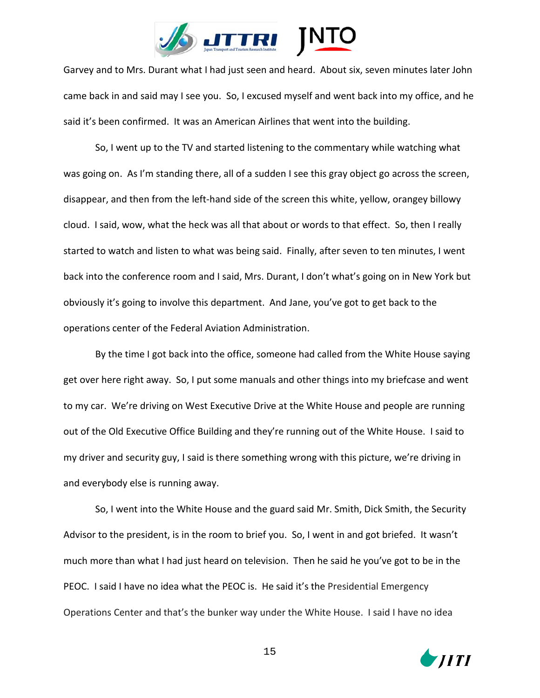

Garvey and to Mrs. Durant what I had just seen and heard. About six, seven minutes later John came back in and said may I see you. So, I excused myself and went back into my office, and he said it's been confirmed. It was an American Airlines that went into the building.

So, I went up to the TV and started listening to the commentary while watching what was going on. As I'm standing there, all of a sudden I see this gray object go across the screen, disappear, and then from the left-hand side of the screen this white, yellow, orangey billowy cloud. I said, wow, what the heck was all that about or words to that effect. So, then I really started to watch and listen to what was being said. Finally, after seven to ten minutes, I went back into the conference room and I said, Mrs. Durant, I don't what's going on in New York but obviously it's going to involve this department. And Jane, you've got to get back to the operations center of the Federal Aviation Administration.

By the time I got back into the office, someone had called from the White House saying get over here right away. So, I put some manuals and other things into my briefcase and went to my car. We're driving on West Executive Drive at the White House and people are running out of the Old Executive Office Building and they're running out of the White House. I said to my driver and security guy, I said is there something wrong with this picture, we're driving in and everybody else is running away.

So, I went into the White House and the guard said Mr. Smith, Dick Smith, the Security Advisor to the president, is in the room to brief you. So, I went in and got briefed. It wasn't much more than what I had just heard on television. Then he said he you've got to be in the PEOC. I said I have no idea what the PEOC is. He said it's the Presidential Emergency Operations Center and that's the bunker way under the White House. I said I have no idea

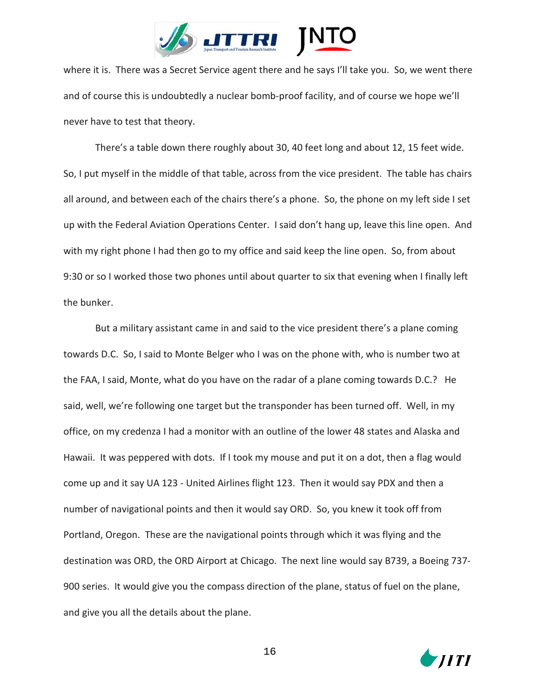

where it is. There was a Secret Service agent there and he says I'll take you. So, we went there and of course this is undoubtedly a nuclear bomb-proof facility, and of course we hope we'll never have to test that theory.

There's a table down there roughly about 30, 40 feet long and about 12, 15 feet wide. So, I put myself in the middle of that table, across from the vice president. The table has chairs all around, and between each of the chairs there's a phone. So, the phone on my left side I set up with the Federal Aviation Operations Center. I said don't hang up, leave this line open. And with my right phone I had then go to my office and said keep the line open. So, from about 9:30 or so I worked those two phones until about quarter to six that evening when I finally left the bunker.

But a military assistant came in and said to the vice president there's a plane coming towards D.C. So, I said to Monte Belger who I was on the phone with, who is number two at the FAA, I said, Monte, what do you have on the radar of a plane coming towards D.C.? He said, well, we're following one target but the transponder has been turned off. Well, in my office, on my credenza I had a monitor with an outline of the lower 48 states and Alaska and Hawaii. It was peppered with dots. If I took my mouse and put it on a dot, then a flag would come up and it say UA 123 - United Airlines flight 123. Then it would say PDX and then a number of navigational points and then it would say ORD. So, you knew it took off from Portland, Oregon. These are the navigational points through which it was flying and the destination was ORD, the ORD Airport at Chicago. The next line would say B739, a Boeing 737- 900 series. It would give you the compass direction of the plane, status of fuel on the plane, and give you all the details about the plane.

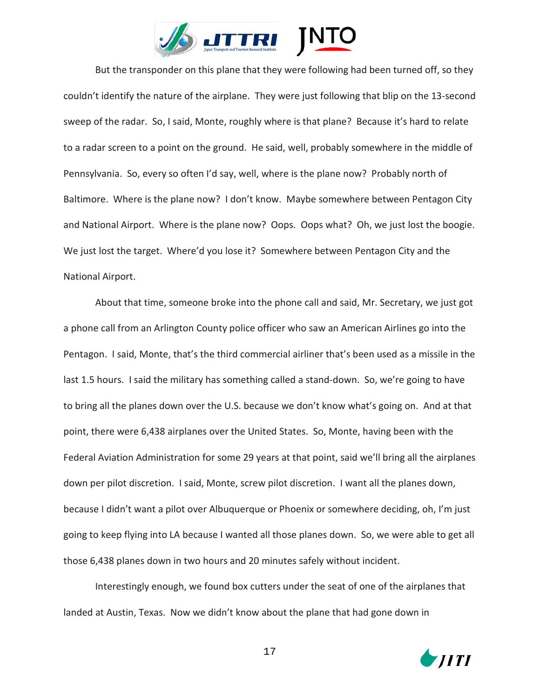

But the transponder on this plane that they were following had been turned off, so they couldn't identify the nature of the airplane. They were just following that blip on the 13-second sweep of the radar. So, I said, Monte, roughly where is that plane? Because it's hard to relate to a radar screen to a point on the ground. He said, well, probably somewhere in the middle of Pennsylvania. So, every so often I'd say, well, where is the plane now? Probably north of Baltimore. Where is the plane now? I don't know. Maybe somewhere between Pentagon City and National Airport. Where is the plane now? Oops. Oops what? Oh, we just lost the boogie. We just lost the target. Where'd you lose it? Somewhere between Pentagon City and the National Airport.

About that time, someone broke into the phone call and said, Mr. Secretary, we just got a phone call from an Arlington County police officer who saw an American Airlines go into the Pentagon. I said, Monte, that's the third commercial airliner that's been used as a missile in the last 1.5 hours. I said the military has something called a stand-down. So, we're going to have to bring all the planes down over the U.S. because we don't know what's going on. And at that point, there were 6,438 airplanes over the United States. So, Monte, having been with the Federal Aviation Administration for some 29 years at that point, said we'll bring all the airplanes down per pilot discretion. I said, Monte, screw pilot discretion. I want all the planes down, because I didn't want a pilot over Albuquerque or Phoenix or somewhere deciding, oh, I'm just going to keep flying into LA because I wanted all those planes down. So, we were able to get all those 6,438 planes down in two hours and 20 minutes safely without incident.

Interestingly enough, we found box cutters under the seat of one of the airplanes that landed at Austin, Texas. Now we didn't know about the plane that had gone down in

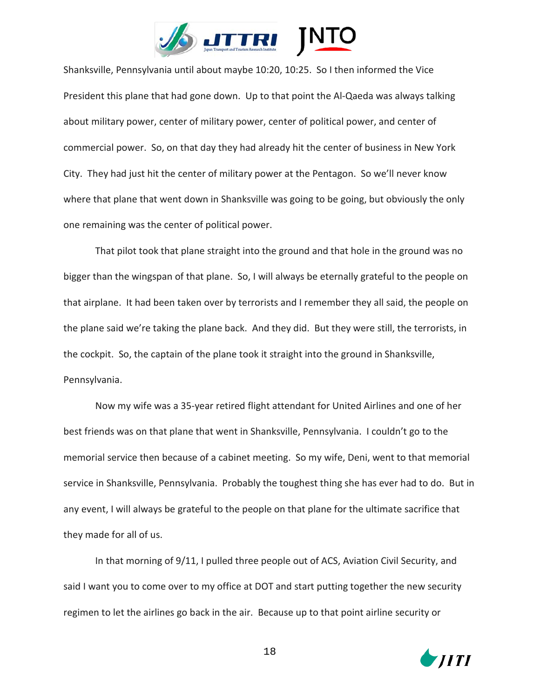

Shanksville, Pennsylvania until about maybe 10:20, 10:25. So I then informed the Vice President this plane that had gone down. Up to that point the Al-Qaeda was always talking about military power, center of military power, center of political power, and center of commercial power. So, on that day they had already hit the center of business in New York City. They had just hit the center of military power at the Pentagon. So we'll never know where that plane that went down in Shanksville was going to be going, but obviously the only one remaining was the center of political power.

That pilot took that plane straight into the ground and that hole in the ground was no bigger than the wingspan of that plane. So, I will always be eternally grateful to the people on that airplane. It had been taken over by terrorists and I remember they all said, the people on the plane said we're taking the plane back. And they did. But they were still, the terrorists, in the cockpit. So, the captain of the plane took it straight into the ground in Shanksville, Pennsylvania.

Now my wife was a 35-year retired flight attendant for United Airlines and one of her best friends was on that plane that went in Shanksville, Pennsylvania. I couldn't go to the memorial service then because of a cabinet meeting. So my wife, Deni, went to that memorial service in Shanksville, Pennsylvania. Probably the toughest thing she has ever had to do. But in any event, I will always be grateful to the people on that plane for the ultimate sacrifice that they made for all of us.

In that morning of 9/11, I pulled three people out of ACS, Aviation Civil Security, and said I want you to come over to my office at DOT and start putting together the new security regimen to let the airlines go back in the air. Because up to that point airline security or

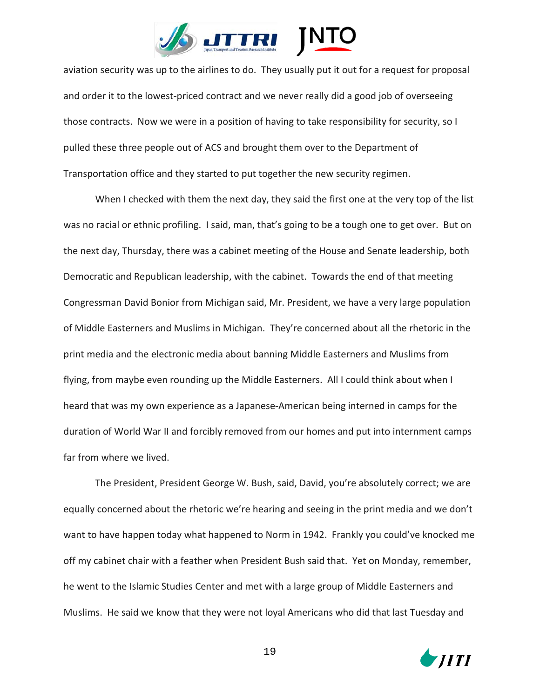

aviation security was up to the airlines to do. They usually put it out for a request for proposal and order it to the lowest-priced contract and we never really did a good job of overseeing those contracts. Now we were in a position of having to take responsibility for security, so I pulled these three people out of ACS and brought them over to the Department of Transportation office and they started to put together the new security regimen.

When I checked with them the next day, they said the first one at the very top of the list was no racial or ethnic profiling. I said, man, that's going to be a tough one to get over. But on the next day, Thursday, there was a cabinet meeting of the House and Senate leadership, both Democratic and Republican leadership, with the cabinet. Towards the end of that meeting Congressman David Bonior from Michigan said, Mr. President, we have a very large population of Middle Easterners and Muslims in Michigan. They're concerned about all the rhetoric in the print media and the electronic media about banning Middle Easterners and Muslims from flying, from maybe even rounding up the Middle Easterners. All I could think about when I heard that was my own experience as a Japanese-American being interned in camps for the duration of World War II and forcibly removed from our homes and put into internment camps far from where we lived.

The President, President George W. Bush, said, David, you're absolutely correct; we are equally concerned about the rhetoric we're hearing and seeing in the print media and we don't want to have happen today what happened to Norm in 1942. Frankly you could've knocked me off my cabinet chair with a feather when President Bush said that. Yet on Monday, remember, he went to the Islamic Studies Center and met with a large group of Middle Easterners and Muslims. He said we know that they were not loyal Americans who did that last Tuesday and

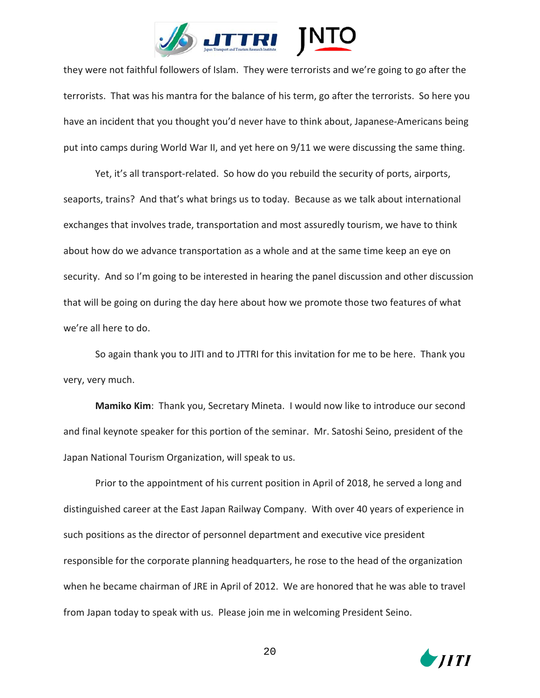

they were not faithful followers of Islam. They were terrorists and we're going to go after the terrorists. That was his mantra for the balance of his term, go after the terrorists. So here you have an incident that you thought you'd never have to think about, Japanese-Americans being put into camps during World War II, and yet here on 9/11 we were discussing the same thing.

Yet, it's all transport-related. So how do you rebuild the security of ports, airports, seaports, trains? And that's what brings us to today. Because as we talk about international exchanges that involves trade, transportation and most assuredly tourism, we have to think about how do we advance transportation as a whole and at the same time keep an eye on security. And so I'm going to be interested in hearing the panel discussion and other discussion that will be going on during the day here about how we promote those two features of what we're all here to do.

So again thank you to JITI and to JTTRI for this invitation for me to be here. Thank you very, very much.

**Mamiko Kim**: Thank you, Secretary Mineta. I would now like to introduce our second and final keynote speaker for this portion of the seminar. Mr. Satoshi Seino, president of the Japan National Tourism Organization, will speak to us.

Prior to the appointment of his current position in April of 2018, he served a long and distinguished career at the East Japan Railway Company. With over 40 years of experience in such positions as the director of personnel department and executive vice president responsible for the corporate planning headquarters, he rose to the head of the organization when he became chairman of JRE in April of 2012. We are honored that he was able to travel from Japan today to speak with us. Please join me in welcoming President Seino.

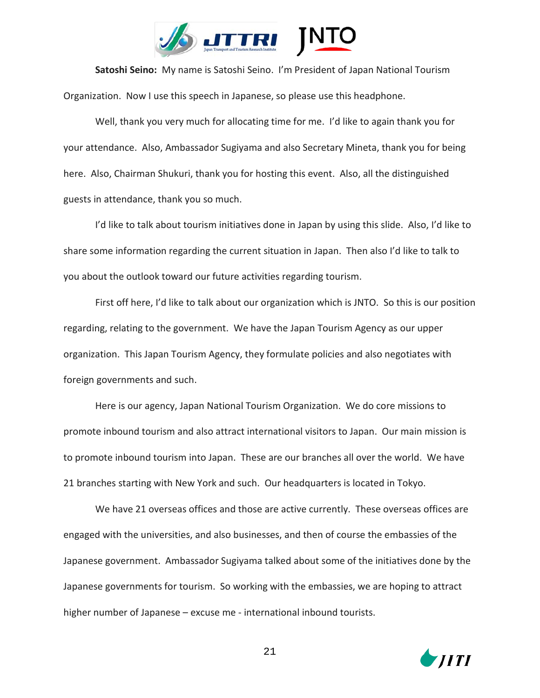

**Satoshi Seino:** My name is Satoshi Seino. I'm President of Japan National Tourism Organization. Now I use this speech in Japanese, so please use this headphone.

Well, thank you very much for allocating time for me. I'd like to again thank you for your attendance. Also, Ambassador Sugiyama and also Secretary Mineta, thank you for being here. Also, Chairman Shukuri, thank you for hosting this event. Also, all the distinguished guests in attendance, thank you so much.

I'd like to talk about tourism initiatives done in Japan by using this slide. Also, I'd like to share some information regarding the current situation in Japan. Then also I'd like to talk to you about the outlook toward our future activities regarding tourism.

First off here, I'd like to talk about our organization which is JNTO. So this is our position regarding, relating to the government. We have the Japan Tourism Agency as our upper organization. This Japan Tourism Agency, they formulate policies and also negotiates with foreign governments and such.

Here is our agency, Japan National Tourism Organization. We do core missions to promote inbound tourism and also attract international visitors to Japan. Our main mission is to promote inbound tourism into Japan. These are our branches all over the world. We have 21 branches starting with New York and such. Our headquarters is located in Tokyo.

We have 21 overseas offices and those are active currently. These overseas offices are engaged with the universities, and also businesses, and then of course the embassies of the Japanese government. Ambassador Sugiyama talked about some of the initiatives done by the Japanese governments for tourism. So working with the embassies, we are hoping to attract higher number of Japanese – excuse me - international inbound tourists.

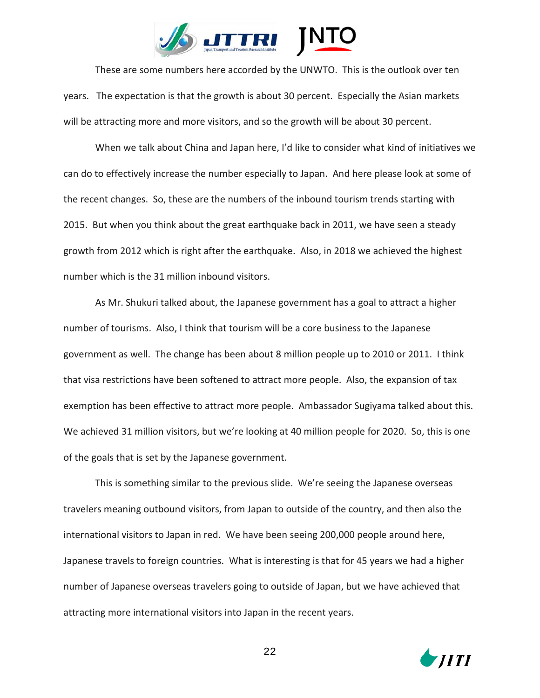

These are some numbers here accorded by the UNWTO. This is the outlook over ten years. The expectation is that the growth is about 30 percent. Especially the Asian markets will be attracting more and more visitors, and so the growth will be about 30 percent.

When we talk about China and Japan here, I'd like to consider what kind of initiatives we can do to effectively increase the number especially to Japan. And here please look at some of the recent changes. So, these are the numbers of the inbound tourism trends starting with 2015. But when you think about the great earthquake back in 2011, we have seen a steady growth from 2012 which is right after the earthquake. Also, in 2018 we achieved the highest number which is the 31 million inbound visitors.

As Mr. Shukuri talked about, the Japanese government has a goal to attract a higher number of tourisms. Also, I think that tourism will be a core business to the Japanese government as well. The change has been about 8 million people up to 2010 or 2011. I think that visa restrictions have been softened to attract more people. Also, the expansion of tax exemption has been effective to attract more people. Ambassador Sugiyama talked about this. We achieved 31 million visitors, but we're looking at 40 million people for 2020. So, this is one of the goals that is set by the Japanese government.

This is something similar to the previous slide. We're seeing the Japanese overseas travelers meaning outbound visitors, from Japan to outside of the country, and then also the international visitors to Japan in red. We have been seeing 200,000 people around here, Japanese travels to foreign countries. What is interesting is that for 45 years we had a higher number of Japanese overseas travelers going to outside of Japan, but we have achieved that attracting more international visitors into Japan in the recent years.

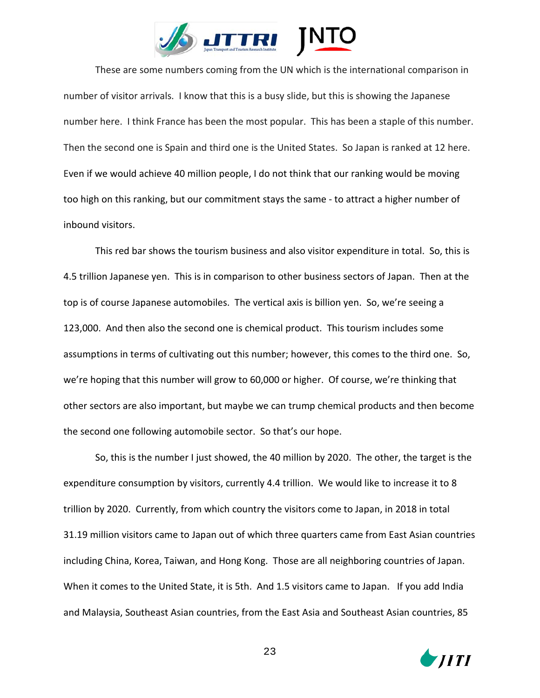

These are some numbers coming from the UN which is the international comparison in number of visitor arrivals. I know that this is a busy slide, but this is showing the Japanese number here. I think France has been the most popular. This has been a staple of this number. Then the second one is Spain and third one is the United States. So Japan is ranked at 12 here. Even if we would achieve 40 million people, I do not think that our ranking would be moving too high on this ranking, but our commitment stays the same - to attract a higher number of inbound visitors.

This red bar shows the tourism business and also visitor expenditure in total. So, this is 4.5 trillion Japanese yen. This is in comparison to other business sectors of Japan. Then at the top is of course Japanese automobiles. The vertical axis is billion yen. So, we're seeing a 123,000. And then also the second one is chemical product. This tourism includes some assumptions in terms of cultivating out this number; however, this comes to the third one. So, we're hoping that this number will grow to 60,000 or higher. Of course, we're thinking that other sectors are also important, but maybe we can trump chemical products and then become the second one following automobile sector. So that's our hope.

So, this is the number I just showed, the 40 million by 2020. The other, the target is the expenditure consumption by visitors, currently 4.4 trillion. We would like to increase it to 8 trillion by 2020. Currently, from which country the visitors come to Japan, in 2018 in total 31.19 million visitors came to Japan out of which three quarters came from East Asian countries including China, Korea, Taiwan, and Hong Kong. Those are all neighboring countries of Japan. When it comes to the United State, it is 5th. And 1.5 visitors came to Japan. If you add India and Malaysia, Southeast Asian countries, from the East Asia and Southeast Asian countries, 85

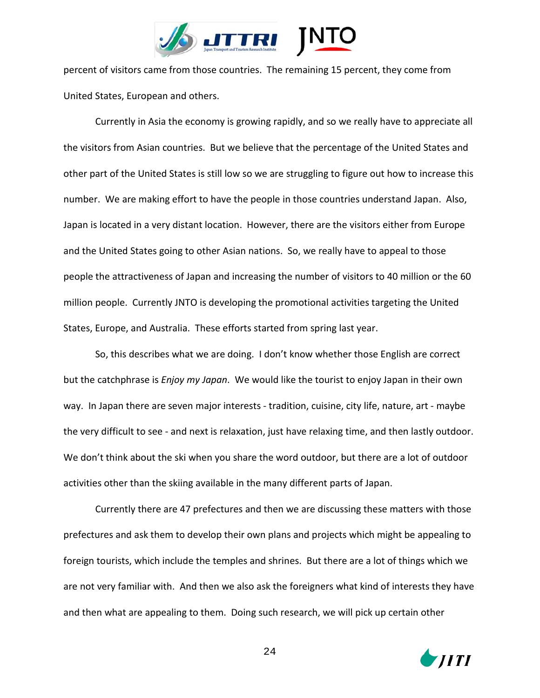

percent of visitors came from those countries. The remaining 15 percent, they come from United States, European and others.

Currently in Asia the economy is growing rapidly, and so we really have to appreciate all the visitors from Asian countries. But we believe that the percentage of the United States and other part of the United States is still low so we are struggling to figure out how to increase this number. We are making effort to have the people in those countries understand Japan. Also, Japan is located in a very distant location. However, there are the visitors either from Europe and the United States going to other Asian nations. So, we really have to appeal to those people the attractiveness of Japan and increasing the number of visitors to 40 million or the 60 million people. Currently JNTO is developing the promotional activities targeting the United States, Europe, and Australia. These efforts started from spring last year.

So, this describes what we are doing. I don't know whether those English are correct but the catchphrase is *Enjoy my Japan*. We would like the tourist to enjoy Japan in their own way. In Japan there are seven major interests - tradition, cuisine, city life, nature, art - maybe the very difficult to see - and next is relaxation, just have relaxing time, and then lastly outdoor. We don't think about the ski when you share the word outdoor, but there are a lot of outdoor activities other than the skiing available in the many different parts of Japan.

Currently there are 47 prefectures and then we are discussing these matters with those prefectures and ask them to develop their own plans and projects which might be appealing to foreign tourists, which include the temples and shrines. But there are a lot of things which we are not very familiar with. And then we also ask the foreigners what kind of interests they have and then what are appealing to them. Doing such research, we will pick up certain other

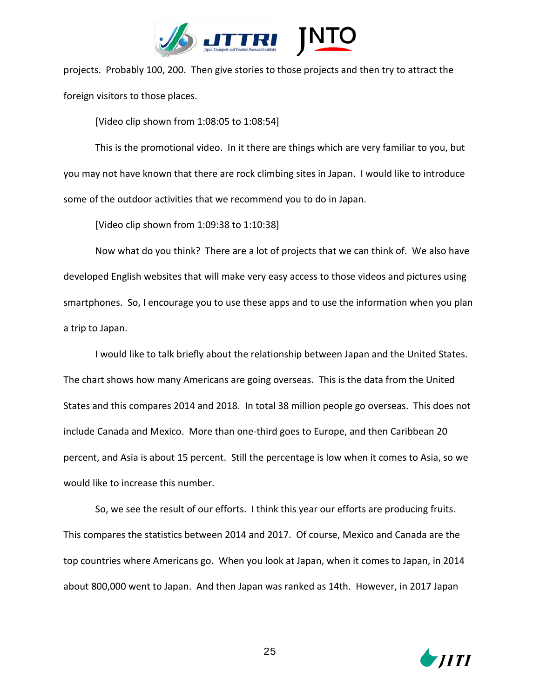

projects. Probably 100, 200. Then give stories to those projects and then try to attract the foreign visitors to those places.

[Video clip shown from 1:08:05 to 1:08:54]

This is the promotional video. In it there are things which are very familiar to you, but you may not have known that there are rock climbing sites in Japan. I would like to introduce some of the outdoor activities that we recommend you to do in Japan.

[Video clip shown from 1:09:38 to 1:10:38]

Now what do you think? There are a lot of projects that we can think of. We also have developed English websites that will make very easy access to those videos and pictures using smartphones. So, I encourage you to use these apps and to use the information when you plan a trip to Japan.

I would like to talk briefly about the relationship between Japan and the United States. The chart shows how many Americans are going overseas. This is the data from the United States and this compares 2014 and 2018. In total 38 million people go overseas. This does not include Canada and Mexico. More than one-third goes to Europe, and then Caribbean 20 percent, and Asia is about 15 percent. Still the percentage is low when it comes to Asia, so we would like to increase this number.

So, we see the result of our efforts. I think this year our efforts are producing fruits. This compares the statistics between 2014 and 2017. Of course, Mexico and Canada are the top countries where Americans go. When you look at Japan, when it comes to Japan, in 2014 about 800,000 went to Japan. And then Japan was ranked as 14th. However, in 2017 Japan

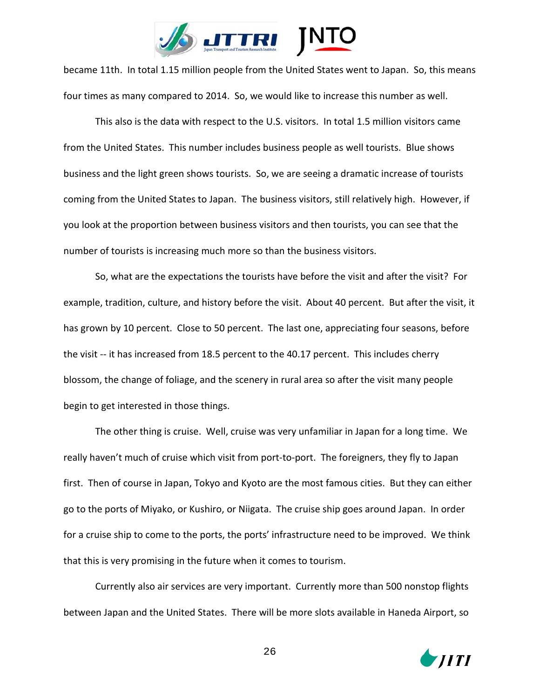

became 11th. In total 1.15 million people from the United States went to Japan. So, this means four times as many compared to 2014. So, we would like to increase this number as well.

This also is the data with respect to the U.S. visitors. In total 1.5 million visitors came from the United States. This number includes business people as well tourists. Blue shows business and the light green shows tourists. So, we are seeing a dramatic increase of tourists coming from the United States to Japan. The business visitors, still relatively high. However, if you look at the proportion between business visitors and then tourists, you can see that the number of tourists is increasing much more so than the business visitors.

So, what are the expectations the tourists have before the visit and after the visit? For example, tradition, culture, and history before the visit. About 40 percent. But after the visit, it has grown by 10 percent. Close to 50 percent. The last one, appreciating four seasons, before the visit -- it has increased from 18.5 percent to the 40.17 percent. This includes cherry blossom, the change of foliage, and the scenery in rural area so after the visit many people begin to get interested in those things.

The other thing is cruise. Well, cruise was very unfamiliar in Japan for a long time. We really haven't much of cruise which visit from port-to-port. The foreigners, they fly to Japan first. Then of course in Japan, Tokyo and Kyoto are the most famous cities. But they can either go to the ports of Miyako, or Kushiro, or Niigata. The cruise ship goes around Japan. In order for a cruise ship to come to the ports, the ports' infrastructure need to be improved. We think that this is very promising in the future when it comes to tourism.

Currently also air services are very important. Currently more than 500 nonstop flights between Japan and the United States. There will be more slots available in Haneda Airport, so